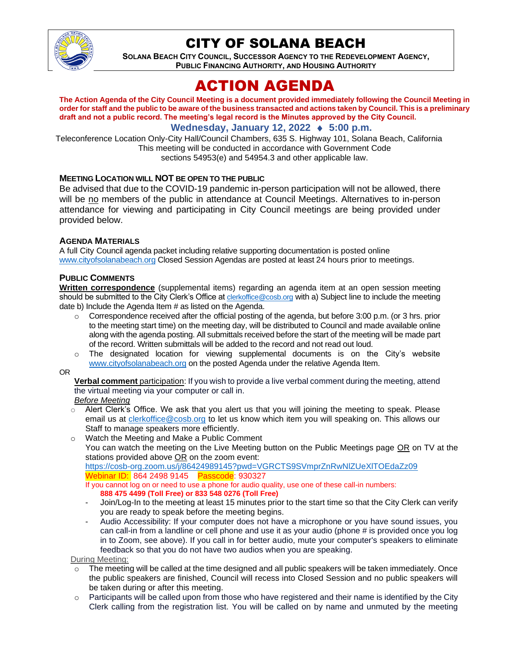

# CITY OF SOLANA BEACH

**SOLANA BEACH CITY COUNCIL, SUCCESSOR AGENCY TO THE REDEVELOPMENT AGENCY, PUBLIC FINANCING AUTHORITY, AND HOUSING AUTHORITY** 

# ACTION AGENDA

**The Action Agenda of the City Council Meeting is a document provided immediately following the Council Meeting in order for staff and the public to be aware of the business transacted and actions taken by Council. This is a preliminary draft and not a public record. The meeting's legal record is the Minutes approved by the City Council.**

# **Wednesday, January 12, 2022 ♦ 5:00 p.m.**

Teleconference Location Only-City Hall/Council Chambers, 635 S. Highway 101, Solana Beach, California This meeting will be conducted in accordance with Government Code sections 54953(e) and 54954.3 and other applicable law.

## **MEETING LOCATION WILL NOT BE OPEN TO THE PUBLIC**

Be advised that due to the COVID-19 pandemic in-person participation will not be allowed, there will be no members of the public in attendance at Council Meetings. Alternatives to in-person attendance for viewing and participating in City Council meetings are being provided under provided below.

## **AGENDA MATERIALS**

A full City Council agenda packet including relative supporting documentation is posted online [www.cityofsolanabeach.org](https://urldefense.proofpoint.com/v2/url?u=http-3A__www.cityofsolanabeach.org&d=DwQFAg&c=euGZstcaTDllvimEN8b7jXrwqOf-v5A_CdpgnVfiiMM&r=1XAsCUuqwK_tji2t0s1uIQ&m=wny2RVfZJ2tN24LkqZmkUWNpwL_peNtTZUBlTBZiMM4&s=6ATguqxJUOD7VVtloplAbyuyNaVcEh6Fl4q1iw55lCY&e=) Closed Session Agendas are posted at least 24 hours prior to meetings.

#### **PUBLIC COMMENTS**

**Written correspondence** (supplemental items) regarding an agenda item at an open session meeting should be submitted to the City Clerk's Office at [clerkoffice@cosb.org](mailto:clerkoffice@cosb.org) with a) Subject line to include the meeting date b) Include the Agenda Item # as listed on the Agenda.

- $\circ$  Correspondence received after the official posting of the agenda, but before 3:00 p.m. (or 3 hrs. prior to the meeting start time) on the meeting day, will be distributed to Council and made available online along with the agenda posting. All submittals received before the start of the meeting will be made part of the record. Written submittals will be added to the record and not read out loud.
- $\circ$  The designated location for viewing supplemental documents is on the City's website [www.cityofsolanabeach.org](http://www.cityofsolanabeach.org/) on the posted Agenda under the relative Agenda Item.
- OR

**Verbal comment** participation: If you wish to provide a live verbal comment during the meeting, attend the virtual meeting via your computer or call in.

#### *Before Meeting*

- $\circ$  Alert Clerk's Office. We ask that you alert us that you will joining the meeting to speak. Please email us at [clerkoffice@cosb.org](mailto:clerkoffice@cosb.org) to let us know which item you will speaking on. This allows our Staff to manage speakers more efficiently.
- o Watch the Meeting and Make a Public Comment You can watch the meeting on the Live Meeting button on the Public Meetings page OR on TV at the stations provided above  $\overline{OR}$  on the zoom event: <https://cosb-org.zoom.us/j/86424989145?pwd=VGRCTS9SVmprZnRwNlZUeXlTOEdaZz09> Webinar ID: 864 2498 9145 Passcode: 930327

If you cannot log on or need to use a phone for audio quality, use one of these call-in numbers: **888 475 4499 (Toll Free) or 833 548 0276 (Toll Free)**

- Join/Log-In to the meeting at least 15 minutes prior to the start time so that the City Clerk can verify you are ready to speak before the meeting begins.
- Audio Accessibility: If your computer does not have a microphone or you have sound issues, you can call-in from a landline or cell phone and use it as your audio (phone # is provided once you log in to Zoom, see above). If you call in for better audio, mute your computer's speakers to eliminate feedback so that you do not have two audios when you are speaking.

#### During Meeting:

- The meeting will be called at the time designed and all public speakers will be taken immediately. Once the public speakers are finished, Council will recess into Closed Session and no public speakers will be taken during or after this meeting.
- $\circ$  Participants will be called upon from those who have registered and their name is identified by the City Clerk calling from the registration list. You will be called on by name and unmuted by the meeting